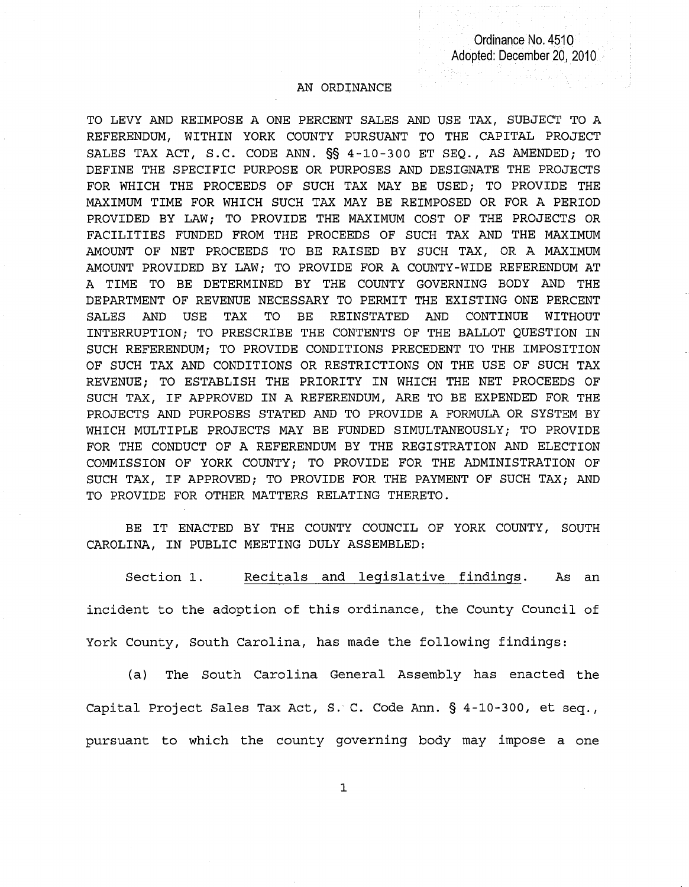## AN ORDINANCE

TO LEVY AND REIMPOSE A ONE PERCENT SALES AND USE TAX, SUBJECT TO A REFERENDUM, WITHIN YORK COUNTY PURSUANT TO THE CAPITAL PROJECT SALES TAX ACT, S.C. CODE ANN. §§ 4-10-300 ET SEQ., AS AMENDED; TO DEFINE THE SPECIFIC PURPOSE OR PURPOSES AND DESIGNATE THE PROJECTS FOR WHICH THE PROCEEDS OF SUCH TAX MAY BE USED; TO PROVIDE THE MAXIMUM TIME FOR WHICH SUCH TAX MAY BE REIMPOSED OR FOR A PERIOD PROVIDED BY LAW; TO PROVIDE THE MAXIMUM COST OF THE PROJECTS OR FACILITIES FUNDED FROM THE PROCEEDS OF SUCH TAX AND THE MAXIMUM AMOUNT OF NET PROCEEDS TO BE RAISED BY SUCH TAX, OR A MAXIMUM AMOUNT PROVIDED BY LAW; TO PROVIDE FOR A COUNTY-WIDE REFERENDUM AT A TIME TO BE DETERMINED BY THE COUNTY GOVERNING BODY AND THE DEPARTMENT OF REVENUE NECESSARY TO PERMIT THE EXISTING ONE PERCENT SALES AND USE TAX TO BE REINSTATED AND CONTINUE WITHOUT INTERRUPTION; TO PRESCRIBE THE CONTENTS OF THE BALLOT QUESTION IN SUCH REFERENDUM; TO PROVIDE CONDITIONS PRECEDENT TO THE IMPOSITION OF SUCH TAX AND CONDITIONS OR RESTRICTIONS ON THE USE OF SUCH TAX REVENUE; TO ESTABLISH THE PRIORITY IN WHICH THE NET PROCEEDS OF SUCH TAX, IF APPROVED IN A REFERENDUM, ARE TO BE EXPENDED FOR THE PROJECTS AND PURPOSES STATED AND TO PROVIDE A FORMULA OR SYSTEM BY WHICH MULTIPLE PROJECTS MAY BE FUNDED SIMULTANEOUSLY; TO PROVIDE FOR THE CONDUCT OF A REFERENDUM BY THE REGISTRATION AND ELECTION COMMISSION OF YORK COUNTY; TO PROVIDE FOR THE ADMINISTRATION OF SUCH TAX, IF APPROVED; TO PROVIDE FOR THE PAYMENT OF SUCH TAX; AND TO PROVIDE FOR OTHER MATTERS RELATING THERETO.

BE IT ENACTED BY THE COUNTY COUNCIL OF YORK COUNTY, SOUTH CAROLINA, IN PUBLIC MEETING DULY ASSEMBLED:

Section 1. Recitals and legislative findings. As an incident to the adoption of this ordinance, the County Council of York County, South Carolina, has made the following findings:

(a) The South Carolina General Assembly has enacted the Capital Project Sales Tax Act, S. C. Code Ann. § 4-10-300, et seq., pursuant to which the county governing body may impose a one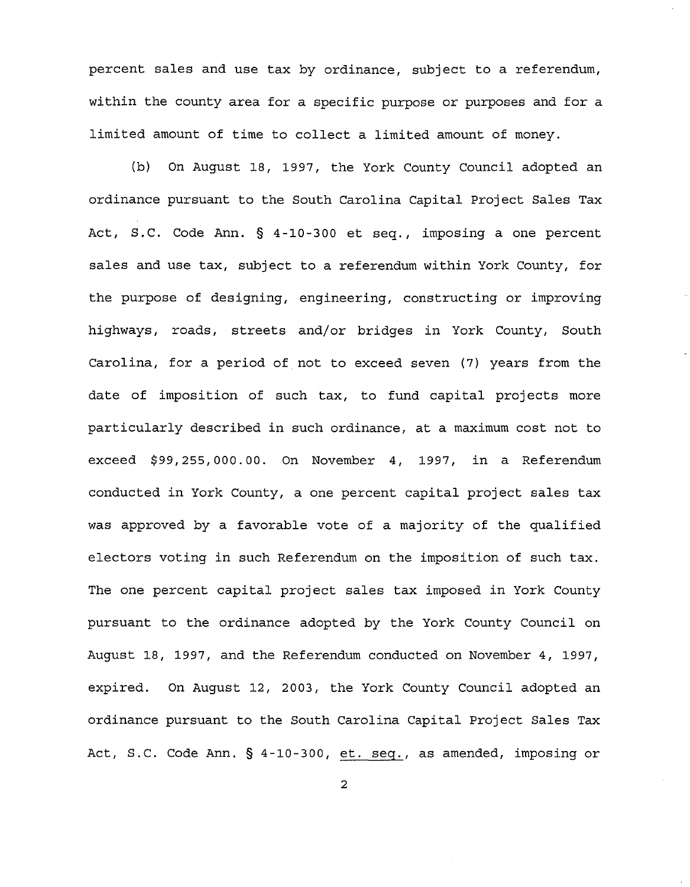percent sales and use tax by ordinance, subject to a referendum, within the county area for a specific purpose or purposes and for a limited amount of time to collect a limited amount of money.

(b) On August 18, 1997, the York County Council adopted an ordinance pursuant to the South Carolina Capital project Sales Tax Act, S.C. Code Ann. § 4-10-300 et seq., imposing a one percent sales and use tax, subject to a referendum within York County, for the purpose of designing, engineering, constructing or improving highways, roads, streets and/or bridges in York County, South Carolina, for a period of not to exceed seven (7) years from the date of imposition of such tax, to fund capital projects more particularly described in such ordinance, at a maximum cost not to exceed \$99,255,000.00. On November 4, 1997, in a Referendum conducted in York County, a one percent capital project sales tax was approved by a favorable vote of a majority of the qualified electors voting in such Referendum on the imposition of such tax. The one percent capital project sales tax imposed in York County pursuant to the ordinance adopted by the York County Council on August 18, 1997, and the Referendum conducted on November 4, 1997, expired. On August 12, 2003, the York County Council adopted an ordinance pursuant to the South Carolina Capital Project Sales Tax Act, S.C. Code Ann. § 4-10-300, et. seq., as amended, imposing or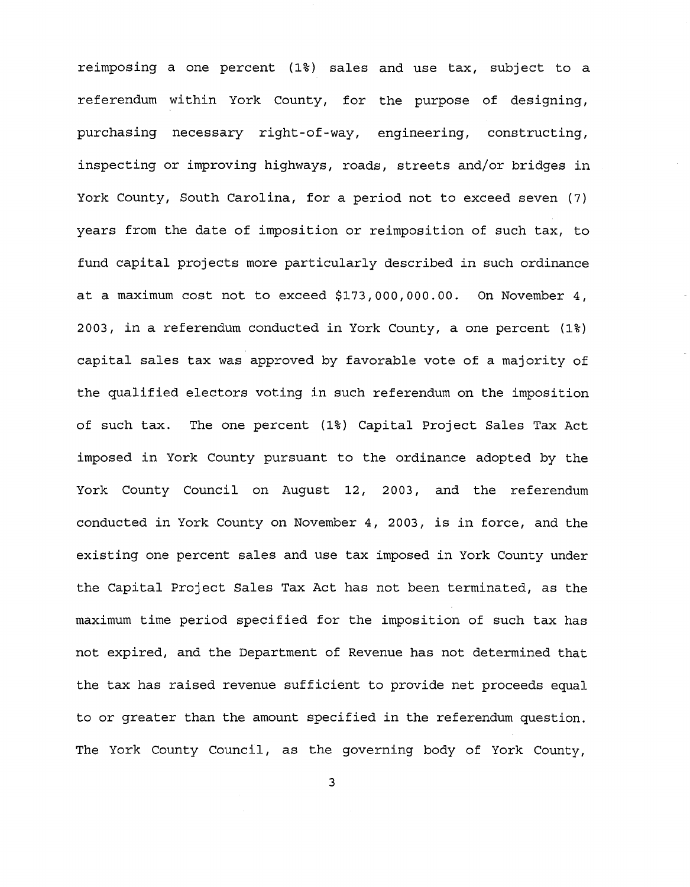reimposing a one percent (1%) sales and use tax, subject to a referendum within York County, for the purpose of designing, purchasing necessary right-of-way, engineering, constructing, inspecting or improving highways, roads, streets and/or bridges in York County, South Carolina, for a period not to exceed seven (7) years from the date of imposition or reimposition of such tax, to fund capital projects more particularly described in such ordinance at a maximum cost not to exceed \$173,000,000.00. On November 4, 2003, in a referendum conducted in York County, a one percent (1%) capital sales tax was approved by favorable vote of a majority of the qualified electors voting in such referendum on the imposition of such tax. The one percent (1%) Capital Project Sales Tax Act imposed in York County pursuant to the ordinance adopted by the York County Council on August 12, 2003, and the referendum conducted in York County on November 4, 2003, is in force, and the existing one percent sales and use tax imposed in York County under the Capital Project Sales Tax Act has not been terminated, as the maximum time period specified for the imposition of such tax has not expired, and the Department of Revenue has not determined that the tax has raised revenue sufficient to provide net proceeds equal to or greater than the amount specified in the referendum question. The York County Council, as the governing body of York County,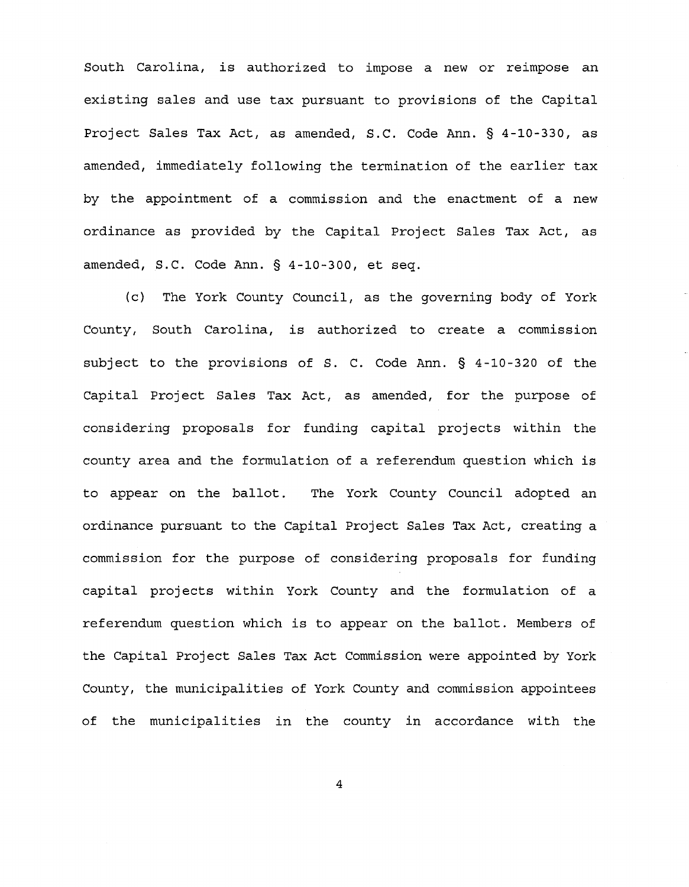South Carolina, is authorized to impose a new or reimpose an existing sales and use tax pursuant to provisions of the Capital Project Sales Tax Act, as amended, S.C. Code Ann. § 4-10-330, as amended, immediately following the termination of the earlier tax by the appointment of a commission and the enactment of a new ordinance as provided by the Capital Project Sales Tax Act, as amended, S.C. Code Ann. § 4-10-300, et seq.

(c) The York County Council, as the governing body of York County, South Carolina, is authorized to create a commission subject to the provisions of S. C. Code Ann. § 4-10-320 of the Capital Project Sales Tax Act, as amended, for the purpose of considering proposals for funding capital projects within the county area and the formulation of a referendum question which is to appear on the ballot. The York County Council adopted an ordinance pursuant to the Capital Project Sales Tax Act, creating a commission for the purpose of considering proposals for funding capital projects within York County and the formulation of a referendum question which is to appear on the ballot. Members of the Capital Project Sales Tax Act Commission were appointed by York County, the municipalities of York County and commission appointees of the municipalities in the county in accordance with the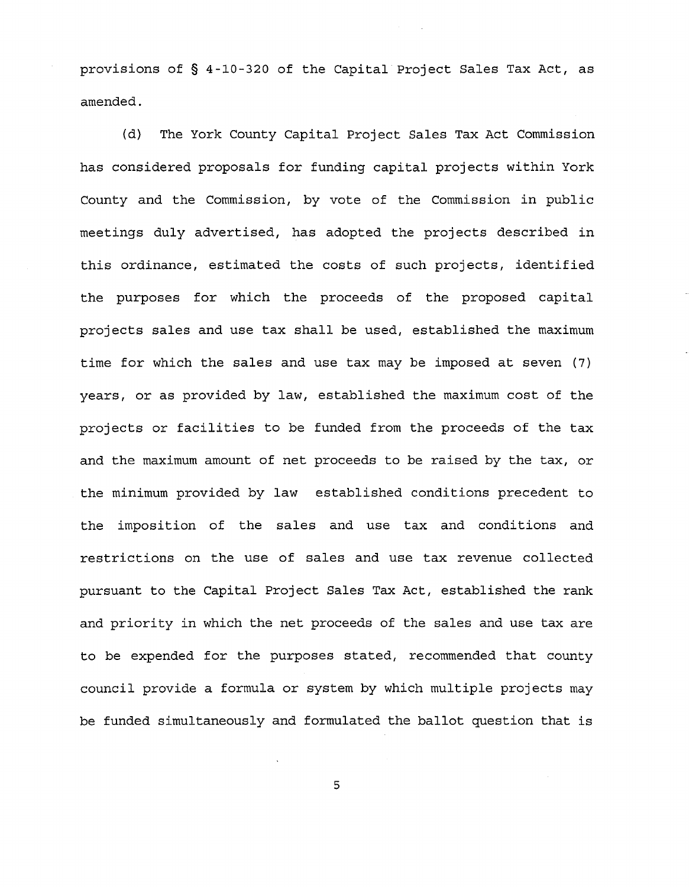provisions of § 4-10-320 of the Capital Project Sales Tax Act, as amended.

(d) The York County Capital Project Sales Tax Act Commission has considered proposals for funding capital projects within York County and the Commission, by vote of the Commission in public meetings duly advertised, has adopted the projects described in this ordinance, estimated the costs of such projects, identified the purposes for which the proceeds of the proposed capital projects sales and use tax shall be used, established the maximum time for which the sales and use tax may be imposed at seven (7) years, or as provided by law, established the maximum cost of the projects or facilities to be funded from the proceeds of the tax and the maximum amount of net proceeds to be raised by the tax, or the minimum provided by law established conditions precedent to the imposition of the sales and use tax and conditions and restrictions on the use of sales and use tax revenue collected pursuant to the Capital Project Sales Tax Act, established the rank and priority in which the net proceeds of the sales and use tax are to be expended for the purposes stated, recommended that county council provide a formula or system by which multiple projects may be funded simultaneously and formulated the ballot question that is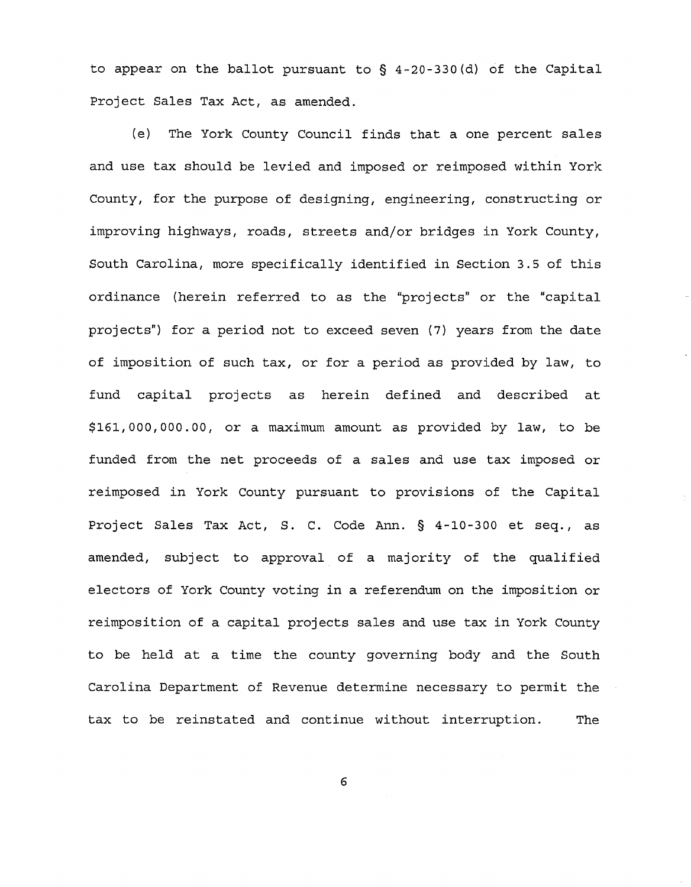to appear on the ballot pursuant to § 4-20-330(d) of the Capital Project Sales Tax Act, as amended.

(e) The York County Council finds that a one percent sales and use tax should be levied and imposed or reimposed within York County, for the purpose of designing, engineering, constructing or improving highways, roads, streets and/or bridges in York County, South Carolina, more specifically identified in Section 3.5 of this ordinance (herein referred to as the "projects" or the "capital projects") for a period not to exceed seven (7) years from the date of imposition of such tax, or for a period as provided by law, to fund capital projects as herein defined and described at \$161,000,000.00, or a maximum amount as provided by law, to be funded from the net proceeds of a sales and use tax imposed or reimposed in York County pursuant to provisions of the Capital Project Sales Tax Act, S. C. Code Ann. § 4-10-300 et seq., as amended, subject to approval of a majority of the qualified electors of York County voting in a referendum on the imposition or reimposition of a capital projects sales and use tax in York County to be held at a time the county governing body and the South Carolina Department of Revenue determine necessary to permit the tax to be reinstated and continue without interruption. The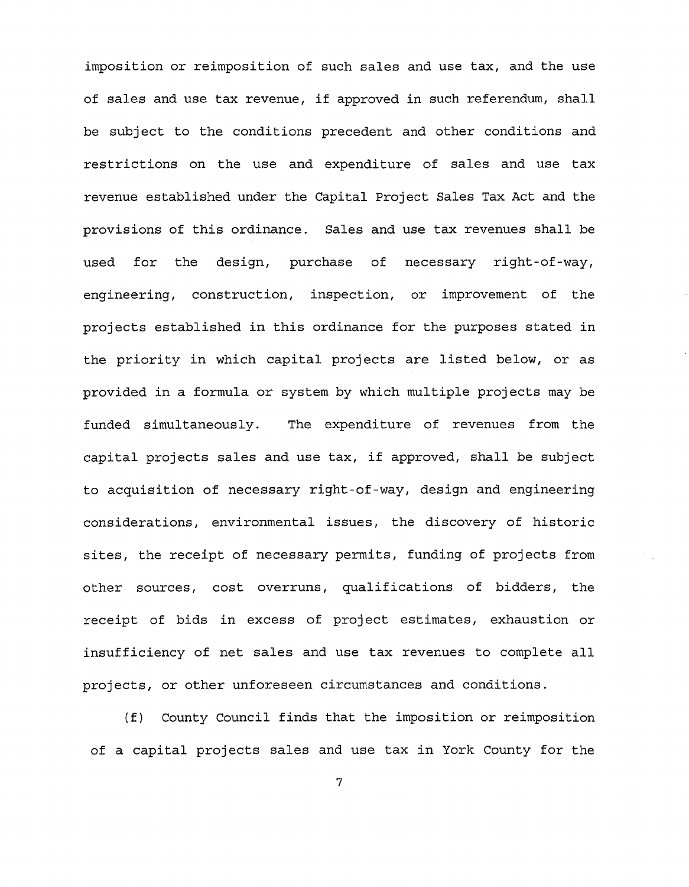imposition or reimposition of such sales and use tax, and the use of sales and use tax revenue, if approved in such referendum, shall be subject to the conditions precedent and other conditions and restrictions on the use and expenditure of sales and use tax revenue established under the Capital Project Sales Tax Act and the provisions of this ordinance. Sales and use tax revenues shall be used for the design, purchase of necessary right-of-way, engineering, construction, inspection, or improvement of the projects established in this ordinance for the purposes stated in the priority in which capital projects are listed below, or as provided in a formula or system by which multiple projects may be funded simultaneously. The expenditure of revenues from the capital projects sales and use tax, if approved, shall be subject to acquisition of necessary right-of-way, design and engineering considerations, environmental issues, the discovery of historic sites, the receipt of necessary permits, funding of projects from other sources, cost overruns, qualifications of bidders, the receipt of bids in excess of project estimates, exhaustion or insufficiency of net sales and use tax revenues to complete all projects, or other unforeseen circumstances and conditions.

(f) County Council finds that the imposition or reimposition of a capital projects sales and use tax in York County for the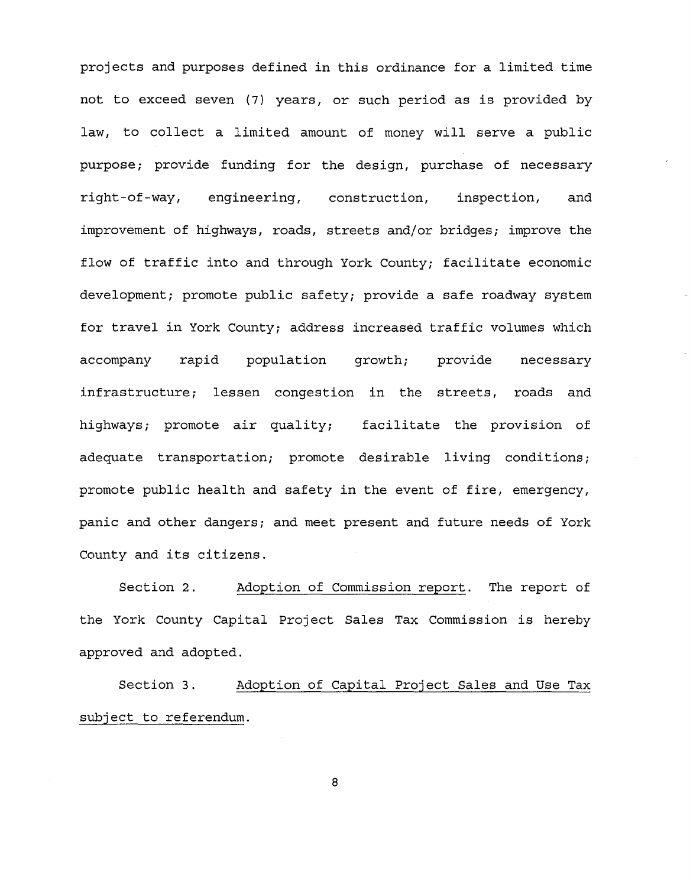projects and purposes defined in this ordinance for a limited time not to exceed seven (7) years, or such period as is provided by law, to collect a limited amount of money will serve a public purpose; provide funding for the design, purchase of necessary right-of-way, engineering, construction, inspection, and improvement of highways, roads, streets and/or bridges; improve the flow of traffic into and through York County; facilitate economic development; promote public safety; provide a safe roadway system for travel in York County; address increased traffic volumes which accompany rapid population growth; provide necessary infrastructure; lessen congestion in the streets, roads and highways; promote air quality; facilitate the provision of adequate transportation; promote desirable living conditions; promote public health and safety in the event of fire, emergency, panic and other dangers; and meet present and future needs of York County and its citizens.

Section 2. Adoption of Commission report. The report of the York County Capital Project Sales Tax Commission is hereby approved and adopted.

Section 3. Adoption of Capital Project Sales and Use Tax subject to referendum.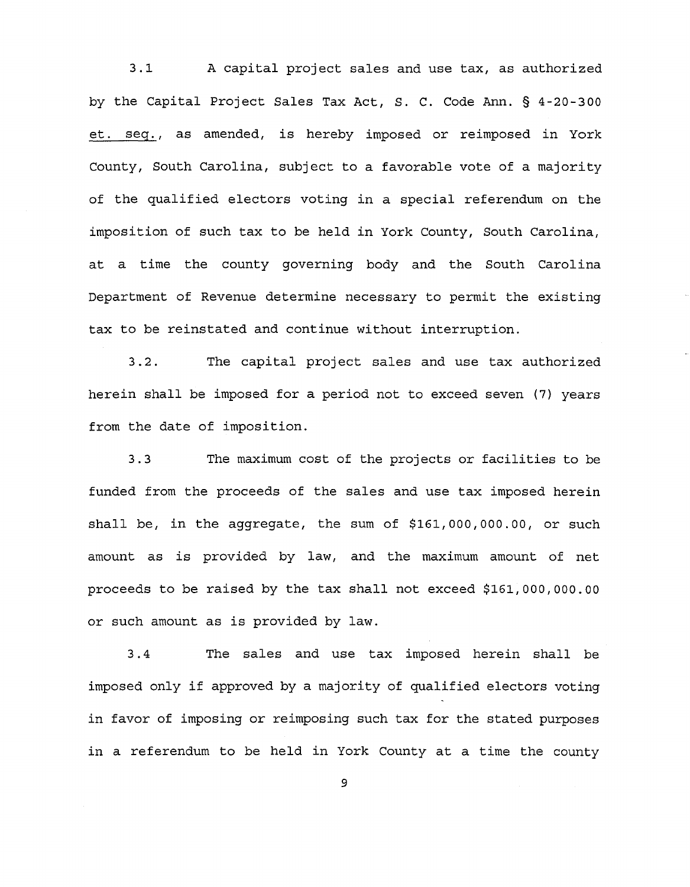3.1 A capital project sales and use tax, as authorized by the Capital Project Sales Tax Act, S. C. Code Ann. § 4-20-300 et. seg., as amended, is hereby imposed or reimposed in York County, South Carolina, subject to a favorable vote of a majority of the qualified electors voting in a special referendum on the imposition of such tax to be held in York County, South Carolina, at a time the county governing body and the South Carolina Department of Revenue determine necessary to permit the existing tax to be reinstated and continue without interruption.

3.2. The capital project sales and use tax authorized herein shall be imposed for a period not to exceed seven (7) years from the date of imposition.

3.3 The maximum cost of the projects or facilities to be funded from the proceeds of the sales and use tax imposed herein shall be, in the aggregate, the sum of \$161,000,000.00, or such amount as is provided by law, and the maximum amount of net proceeds to be raised by the tax shall not exceed \$161,000,000.00 or such amount as is provided by law.

3.4 The sales and use tax imposed herein shall be imposed only if approved by a majority of qualified electors voting in favor of imposing or reimposing such tax for the stated purposes in a referendum to be held in York County at a time the county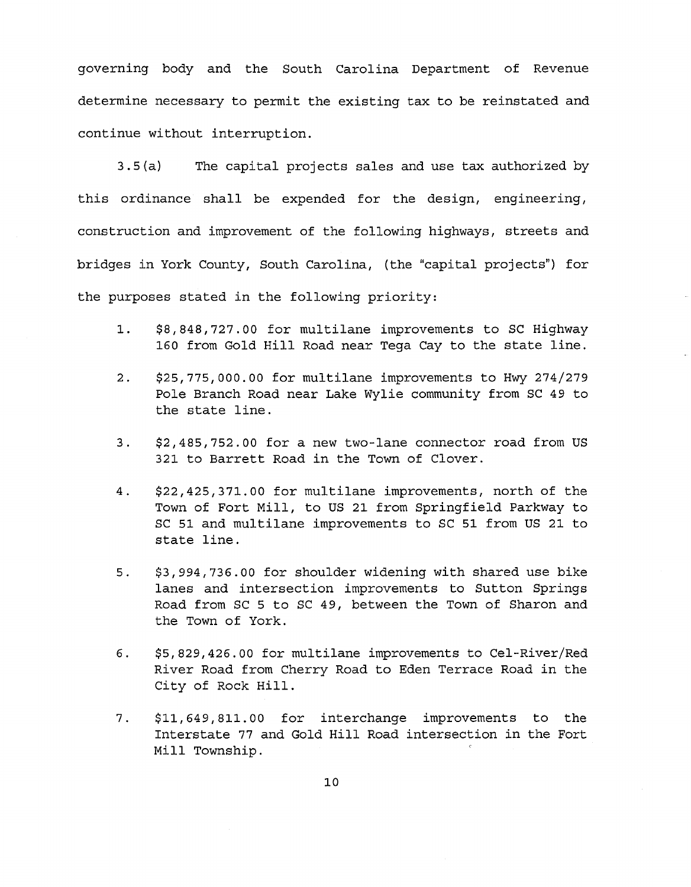governing body and the South Carolina Department of Revenue determine necessary to permit the existing tax to be reinstated and continue without interruption.

3.5 (a) The capital projects sales and use tax authorized by this ordinance shall be expended for the design, engineering, construction and improvement of the following highways, streets and bridges in York County, South Carolina, (the "capital projects") for the purposes stated in the following priority:

- 1. \$8,848,727.00 for multilane improvements to SC Highway 160 from Gold Hill Road near Tega Cay to the state line.
- 2. \$25,775,000.00 for multilane improvements to Hwy 274/279 Pole Branch Road near Lake Wylie community from SC 49 to the state line.
- 3. \$2,485,752.00 for a new two-lane connector road from US 321 to Barrett Road in the Town of Clover.
- 4. \$22,425,371.00 for multilane improvements, north of the Town of Fort Mill, to US 21 from Springfield Parkway to SC 51 and multilane improvements to SC 51 from US 21 to state line.
- 5. \$3,994,736.00 for shoulder widening with shared use bike lanes and intersection improvements to Sutton Springs Road from SC 5 to SC 49, between the Town of Sharon and the Town of York.
- 6. \$5,829,426.00 for multilane improvements to Cel-River/Red River Road from Cherry Road to Eden Terrace Road in the City of Rock Hill.
- 7. \$11,649,811.00 for interchange improvements to the Interstate 77 and Gold Hill Road intersection in the Fort Mill Township.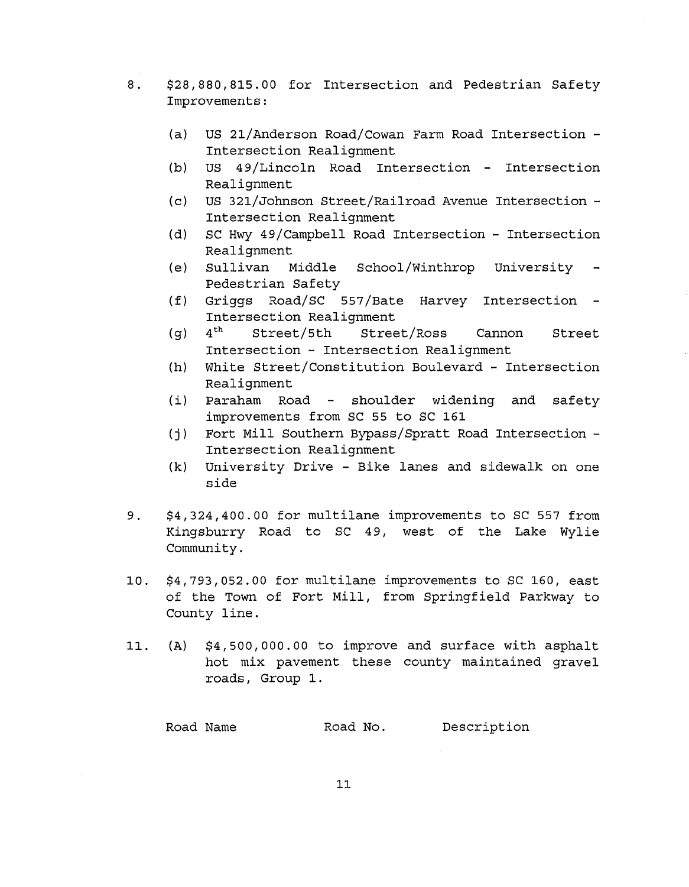- 8. \$28,880,815.00 for Intersection and Pedestrian Safety Improvements:
	- (a) US 21/Anderson Road/Cowan Farm Road Intersection Intersection Realignment
	- (b) US 49/Lincoln Road Intersection Intersection Realignment
	- (c) US 321/Johnson Street/Railroad Avenue Intersection Intersection Realignment
	- (d) SC Hwy 49/Campbell Road Intersection Intersection Realignment
	- (e) Sullivan Middle School/Winthrop University  $\sim$   $-$ Pedestrian Safety
	- (f) Griggs Road/SC 557/Bate Harvey Intersection Intersection Realignment<br>4<sup>th</sup> Street/5th Stree
	- $(q)$   $4<sup>th</sup>$  Street/5th Street/Ross Cannon Street Intersection - Intersection Realignment
	- (h) White Street/Constitution Boulevard Intersection Realignment
	- $(i)$  Paraham Road shoulder widening and safety improvements from SC 55 to SC 161
	- (j) Fort Mill Southern Bypass/Spratt Road Intersection Intersection Realignment
	- (k) University Drive Bike lanes and sidewalk on one side
- 9. \$4,324,400.00 for multilane improvements to SC 557 from Kingsburry Road to SC 49, west of the Lake Wylie Community.
- 10. \$4,793,052.00 for multilane improvements to SC 160, east of the Town of Fort Mill, from Springfield Parkway to County line.
- 11. (A) \$4,500,000.00 to improve and surface with asphalt hot mix pavement these county maintained gravel roads, Group 1.

Road Name **Road No.** Description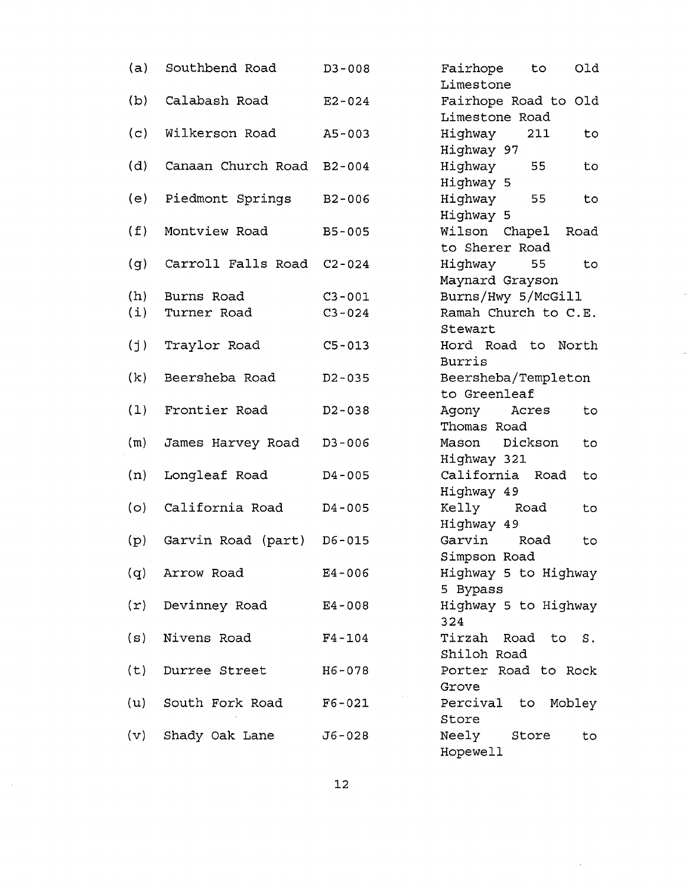| (a)            | Southbend Road            | $D3 - 008$ | Fairhope<br>Old<br>to<br>Limestone |
|----------------|---------------------------|------------|------------------------------------|
| (b)            | Calabash Road             | $E2 - 024$ | Fairhope Road to Old               |
|                |                           |            | Limestone Road                     |
| (c)            | Wilkerson Road            | $A5 - 003$ | Highway<br>211<br>to               |
|                |                           |            | Highway 97                         |
| (d)            | Canaan Church Road B2-004 |            | Highway<br>55<br>to                |
|                |                           |            | Highway 5                          |
| (e)            | Piedmont Springs          | $B2 - 006$ | Highway<br>55<br>to                |
|                |                           |            | Highway 5                          |
| (f)            | Montview Road             | $B5 - 005$ | Wilson Chapel<br>Road              |
|                |                           |            | to Sherer Road                     |
| (g)            | Carroll Falls Road        | $C2 - 024$ | Highway<br>55<br>to                |
|                |                           |            | Maynard Grayson                    |
| (h)            | Burns Road                | $C3 - 001$ | Burns/Hwy 5/McGill                 |
| (i)            | Turner Road               | $C3 - 024$ | Ramah Church to C.E.               |
|                |                           |            | Stewart                            |
| (j)            | Traylor Road              | $C5 - 013$ | Hord Road to<br>North              |
|                |                           |            | Burris                             |
| (k)            | Beersheba Road            | $D2 - 035$ | Beersheba/Templeton                |
|                |                           |            | to Greenleaf                       |
| (1)            | Frontier Road             | $D2 - 038$ | Agony<br>Acres<br>to               |
|                |                           |            | Thomas Road                        |
| (m)            | James Harvey Road         | $D3 - 006$ | Mason Dickson<br>to                |
|                |                           |            | Highway 321                        |
| (n)            | Longleaf Road             | $D4 - 005$ | California Road<br>to              |
|                |                           |            | Highway 49                         |
| (o)            | California Road           | $D4 - 005$ | Kelly<br>Road<br>to                |
|                |                           |            | Highway 49                         |
| (p)            | Garvin Road (part)        | $D6 - 015$ | Garvin<br>Road<br>to               |
|                |                           |            | Simpson Road                       |
| (q)            | Arrow Road                | $E4 - 006$ | Highway 5 to Highway               |
|                |                           |            | 5 Bypass                           |
| $(\texttt{r})$ | Devinney Road             | $E4 - 008$ | Highway 5 to Highway               |
|                |                           |            | 324                                |
| ( ສ)           | Nivens Road               | $F4 - 104$ | Tirzah Road to S.                  |
|                |                           |            | Shiloh Road                        |
| (t)            | Durree Street             | $H6 - 078$ | Porter Road to Rock                |
|                |                           |            | Grove                              |
| (u)            | South Fork Road           | $F6 - 021$ | Percival to<br>Mobley              |
|                |                           |            | Store                              |
| (v)            | Shady Oak Lane            | J6-028     | Neely<br>Store<br>to               |
|                |                           |            | Hopewell                           |

Ļ,

 $\sim$ 

 $\bar{\beta}$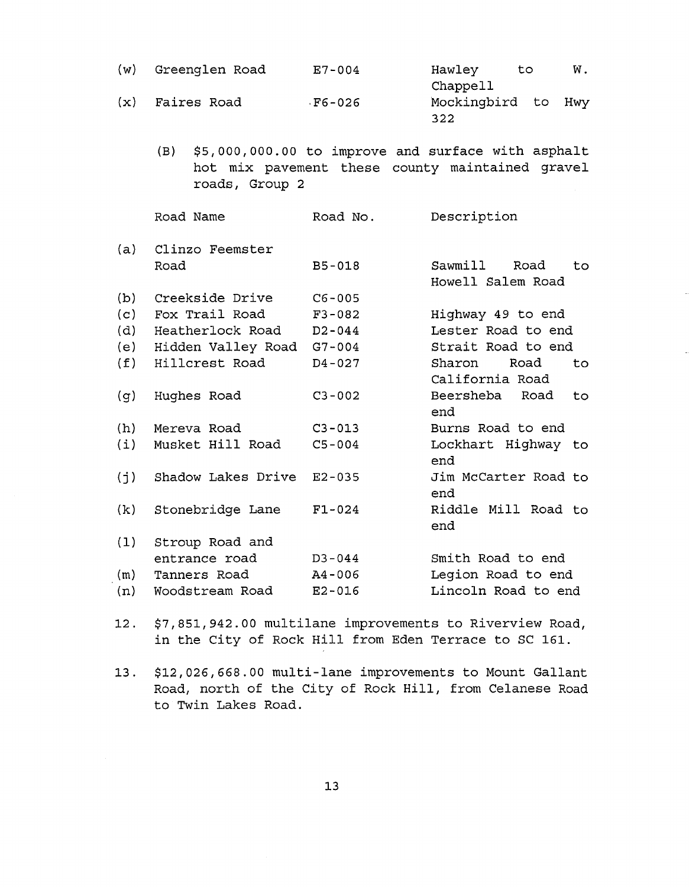| (w) | Greenglen Road            | $E7 - 004$ | Hawley<br>W.<br>to<br>Chappell                                                                        |
|-----|---------------------------|------------|-------------------------------------------------------------------------------------------------------|
| (x) | Faires Road               | $F6 - 026$ | Mockingbird to<br>Hwy<br>322                                                                          |
|     | (B)<br>roads, Group 2     |            | \$5,000,000.00 to improve and surface with asphalt<br>hot mix pavement these county maintained gravel |
|     | Road Name                 | Road No.   | Description                                                                                           |
| (a) | Clinzo Feemster           |            |                                                                                                       |
|     | Road                      | $B5 - 018$ | Sawmill<br>Road<br>to.<br>Howell Salem Road                                                           |
| (b) | Creekside Drive           | $C6 - 005$ |                                                                                                       |
| (c) | Fox Trail Road            | $F3 - 082$ | Highway 49 to end                                                                                     |
| (d) | Heatherlock Road          | $D2 - 044$ | Lester Road to end                                                                                    |
| (e) | Hidden Valley Road G7-004 |            | Strait Road to end                                                                                    |
| (f) | Hillcrest Road            | $D4 - 027$ | Road<br>Sharon<br>to<br>California Road                                                               |
| (g) | Hughes Road               | $C3 - 002$ | Beersheba<br>Road<br>to<br>end                                                                        |
| (h) | Mereva Road               | $C3 - 013$ | Burns Road to end                                                                                     |
| (i) | Musket Hill Road          | $C5 - 004$ | Lockhart Highway to<br>end                                                                            |
| (j) | Shadow Lakes Drive        | $E2 - 035$ | Jim McCarter Road to<br>end                                                                           |
| (k) | Stonebridge Lane          | $F1 - 024$ | Riddle Mill Road to<br>end                                                                            |
| (1) | Stroup Road and           |            |                                                                                                       |
|     | entrance road             | $D3 - 044$ | Smith Road to end                                                                                     |
| (m) | Tanners Road              | $A4 - 006$ | Legion Road to end                                                                                    |
| (n) | Woodstream Road           | $E2 - 016$ | Lincoln Road to end                                                                                   |

12. \$7,851,942.00 multilane improvements to Riverview Road, in the City of Rock Hill from Eden Terrace to SC 161.

13. \$12,026,668.00 multi-lane improvements to Mount Gallant Road, north of the City of Rock Hill, from Celanese Road to Twin Lakes Road.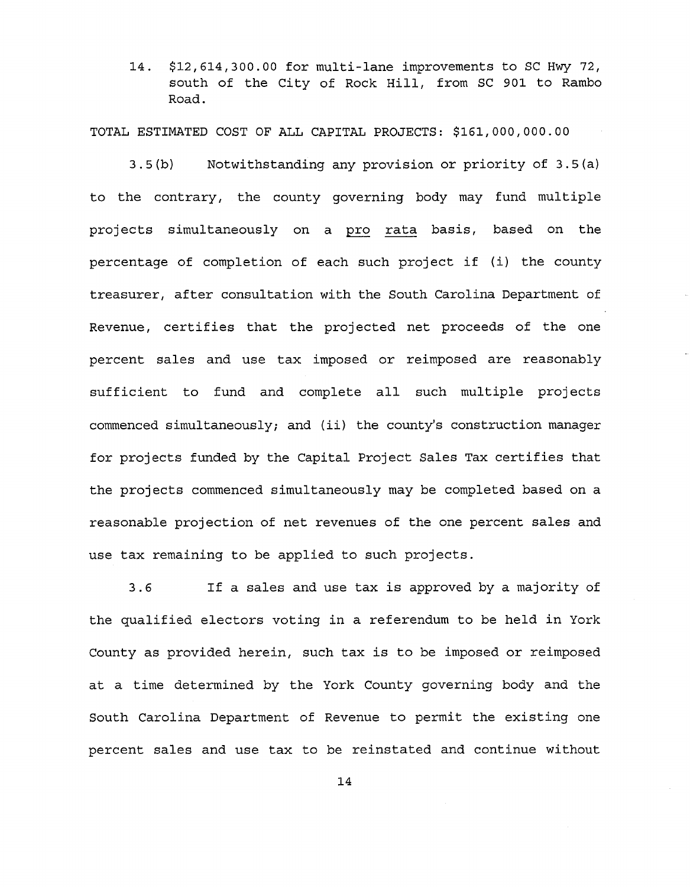14. \$12,614,300.00 for multi-lane improvements to SC Hwy 72, south of the City of Rock Hill, from SC 901 to Rambo Road.

TOTAL ESTIMATED COST OF ALL CAPITAL PROJECTS: \$161,000,000.00

3.5 (b) Notwithstanding any provision or priority of 3.5{a) to the contrary, the county governing body may fund multiple projects simultaneously on a pro rata basis, based on the percentage of completion of each such project if (i) the county treasurer, after consultation with the South Carolina Department of Revenue, certifies that the projected net proceeds of the one percent sales and use tax imposed or reimposed are reasonably sufficient to fund and complete all such multiple projects commenced simultaneously; and (ii) the county's construction manager for projects funded by the Capital Project Sales Tax certifies that the projects commenced simultaneously may be completed based on a reasonable projection of net revenues of the one percent sales and use tax remaining to be applied to such projects.

3.6 If a sales and use tax is approved by a majority of the qualified electors voting in a referendum to be held in York County as provided herein, such tax is to be imposed or reimposed at a time determined by the York County governing body and the South Carolina Department of Revenue to permit the existing one percent sales and use tax to be reinstated and continue without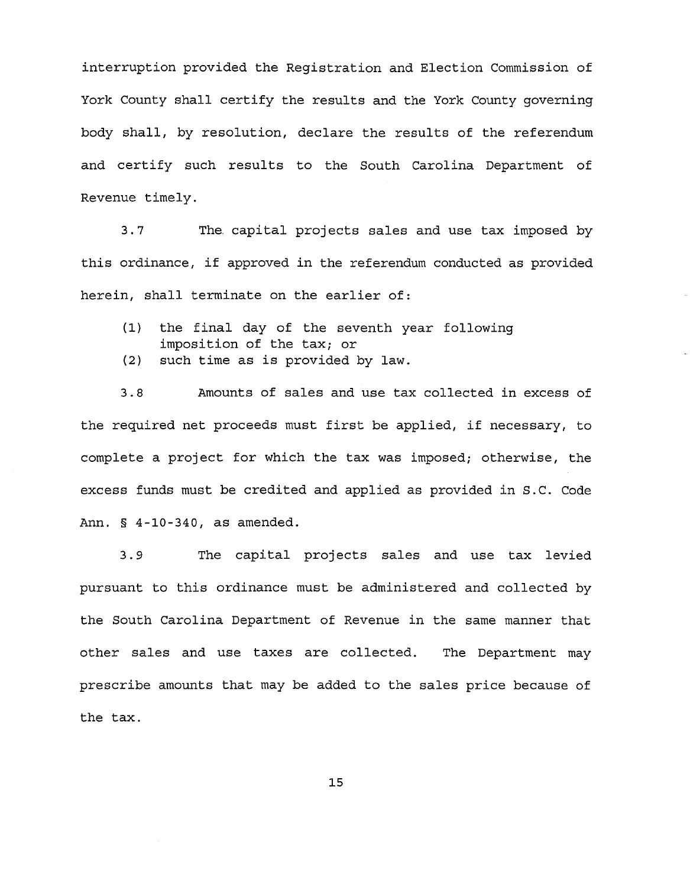interruption provided the Registration and Election Commission of York County shall certify the results and the York County governing body shall, by resolution, declare the results of the referendum and certify such results to the South Carolina Department of Revenue timely.

3.7 The capital projects sales and use tax imposed by this ordinance, if approved in the referendum conducted as provided herein, shall terminate on the earlier of:

- (1) the final day of the seventh year following imposition of the tax; or
- (2) such time as is provided by law.

3.8 Amounts of sales and use tax collected in excess of the required net proceeds must first be applied, if necessary, to complete a project for which the tax was imposed; otherwise, the excess funds must be credited and applied as provided in S.C. Code Ann. § 4-10-340, as amended.

3.9 The capital projects sales and use tax levied pursuant to this ordinance must be administered and collected by the South Carolina Department of Revenue in the same manner that other sales and use taxes are collected. The Department may prescribe amounts that may be added to the sales price because of the tax.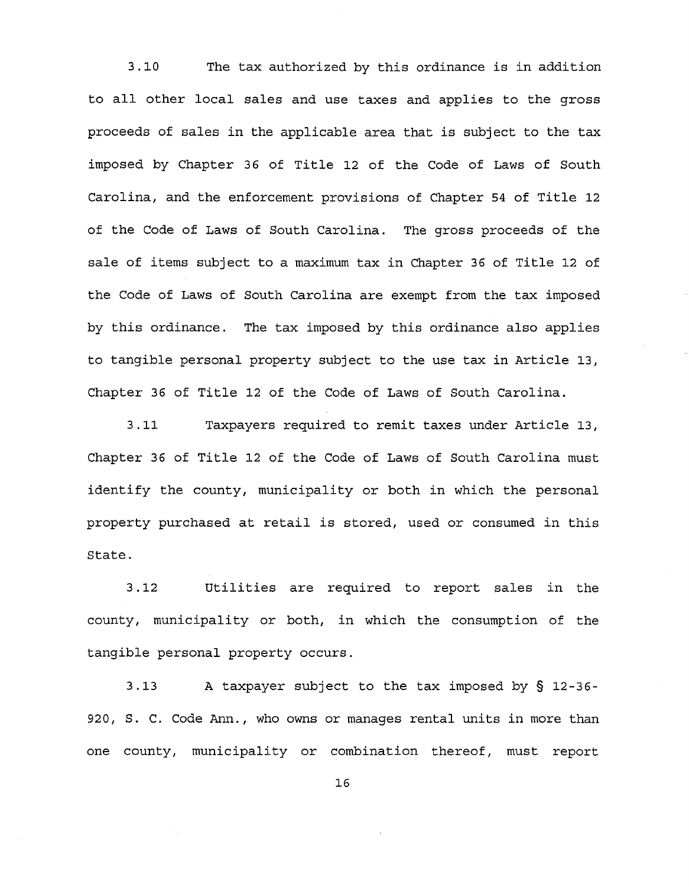3.10 The tax authorized by this ordinance is in addition to all other local sales and use taxes and applies to the gross proceeds of sales in the applicable area that is subject to the tax imposed by Chapter 36 of Title 12 of the Code of Laws of South Carolina, and the enforcement provisions of Chapter 54 of Title 12 of the Code of Laws of South Carolina. The gross proceeds of the sale of items subject to a maximum tax in Chapter 36 of Title 12 of the Code of Laws of South Carolina are exempt from the tax imposed by this ordinance. The tax imposed by this ordinance also applies to tangible personal property subject to the use tax in Article 13, Chapter 36 of Title 12 of the Code of Laws of South Carolina.

3.11 Taxpayers required to remit taxes under Article 13, Chapter 36 of Title 12 of the Code of Laws of South Carolina must identify the county, municipality or both in which the personal property purchased at retail is stored, used or consumed in this State.

3.12 utilities are required to report sales in the county, municipality or both, in which the consumption of the tangible personal property occurs.

3.13 A taxpayer subject to the tax imposed by § 12-36- 920, S. C. Code Ann., who owns or manages rental units in more than one county, municipality or combination thereof, must report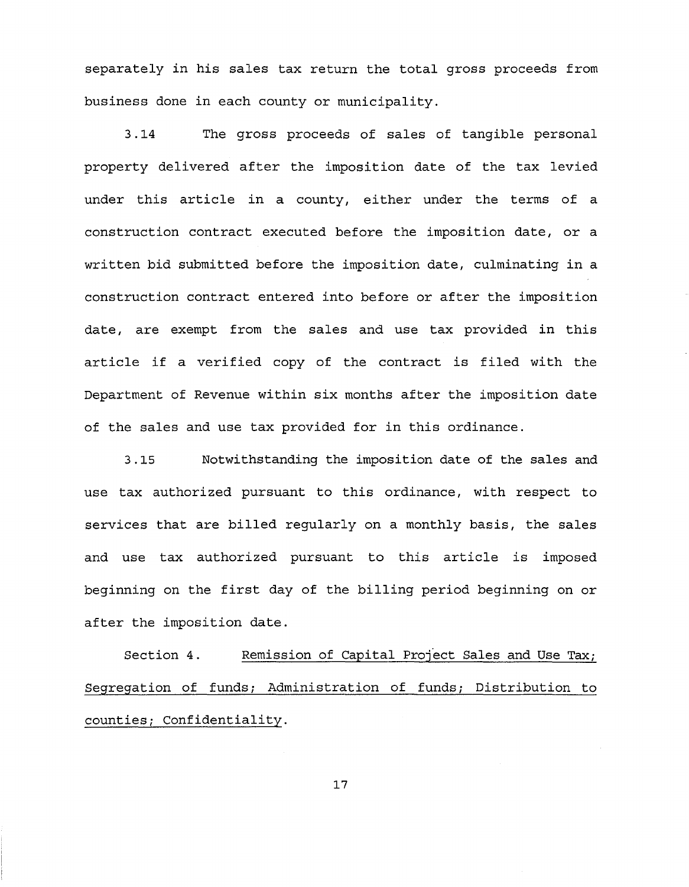separately in his sales tax return the total gross proceeds from business done in each county or municipality.

3.14 The gross proceeds of sales of tangible personal property delivered after the imposition date of the tax levied under this article in a county, either under the terms of a construction contract executed before the imposition date, or a written bid submitted before the imposition date, culminating in a construction contract entered into before or after the imposition date, are exempt from the sales and use tax provided in this article if a verified copy of the contract is filed with the Department of Revenue within six months after the imposition date of the sales and use tax provided for in this ordinance.

3.15 Notwithstanding the imposition date of the sales and use tax authorized pursuant to this ordinance, with respect to services that are billed regularly on a monthly basis, the sales and use tax authorized pursuant to this article is imposed beginning on the first day of the billing period beginning on or after the imposition date.

Section 4. Remission of Capital Project Sales and Use Tax; Segregation of funds; Administration of funds; Distribution to counties; Confidentiality.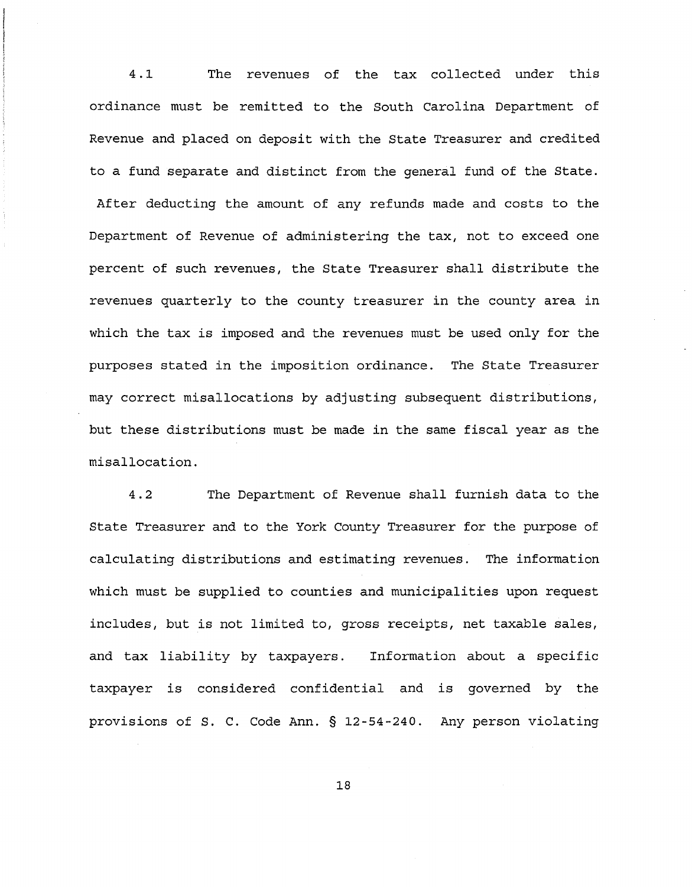4.1 The revenues of the tax collected under this ordinance must be remitted to the South Carolina Department of Revenue and placed on deposit with the State Treasurer and credited to a fund separate and distinct from the general fund of the State. After deducting the amount of any refunds made and costs to the Department of Revenue of administering the tax, not to exceed one percent of such revenues, the State Treasurer shall distribute the revenues quarterly to the county treasurer in the county area in which the tax is imposed and the revenues must be used only for the purposes stated in the imposition ordinance. The State Treasurer may correct misallocations by adjusting subsequent distributions, but these distributions must be made in the same fiscal year as the misallocation.

4.2 The Department of Revenue shall furnish data to the State Treasurer and to the York County Treasurer for the purpose of calculating distributions and estimating revenues. The information which must be supplied to counties and municipalities upon request includes, but is not limited to, gross receipts, net taxable sales, and tax liability by taxpayers. Information about a specific taxpayer is considered confidential and is governed by the provisions of S. C. Code Ann. § 12-54-240. Any person violating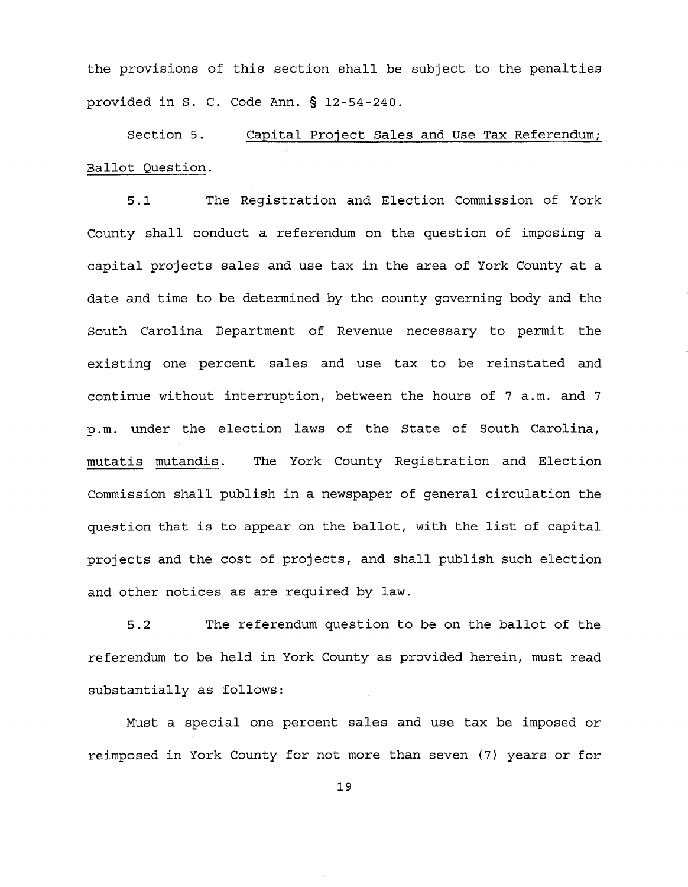the provisions of this section shall be subject to the penalties provided in S. C. Code Ann. § 12-54-240.

Section 5. Capital Project Sales and Use Tax Referendum; Ballot Question.

5.1 The Registration and Election Commission of York County shall conduct a referendum on the question of imposing a capital projects sales and use tax in the area of York County at a date and time to be determined by the county governing body and the South Carolina Department of Revenue necessary to permit the existing one percent sales and use tax to be reinstated and continue without interruption, between the hours of 7 a.m. and 7 p. m. under the election laws of the State of South Carolina, mutatis mutandis. The York County Registration and Election Commission shall publish in a newspaper of general circulation the question that is to appear on the ballot, with the list of capital projects and the cost of projects, and shall publish such election and other notices as are required by law.

5.2 The referendum question to be on the ballot of the referendum to be held in York County as provided herein, must read substantially as follows:

Must a special one percent sales and use tax be imposed or reimposed in York County for not more than seven (7) years or for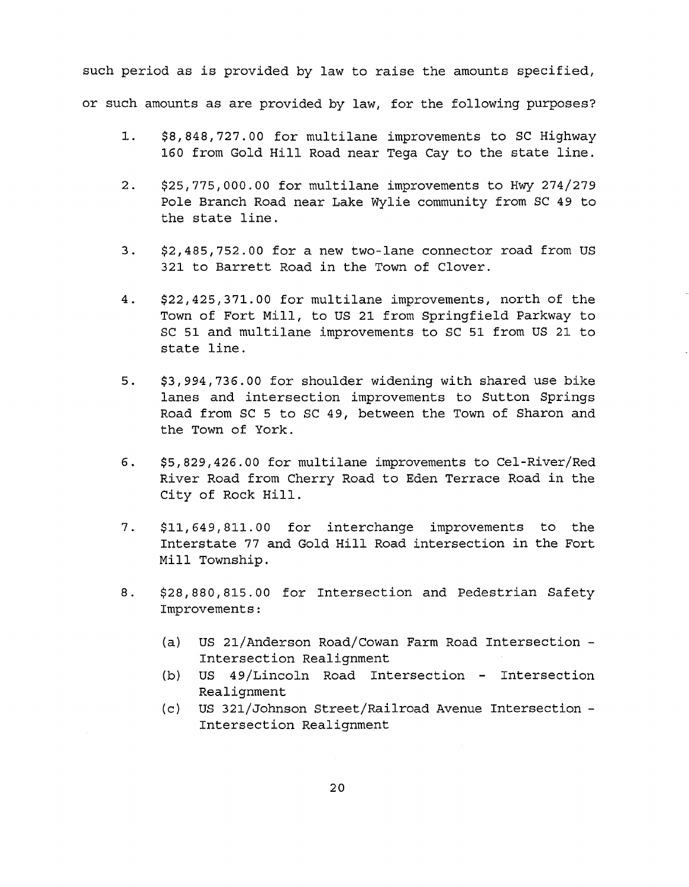such period as is provided by law to raise the amounts specified, or such amounts as are provided by law, for the following purposes?

- 1. \$8,848,727.00 for multilane improvements to SC Highway 160 from Gold Hill Road near Tega Cay to the state line.
- 2. \$25,775,000.00 for multilane improvements to Hwy 274/279 Pole Branch Road near Lake Wylie community from SC 49 to the state line.
- 3. \$2,485,752.00 for a new two-lane connector road from US 321 to Barrett Road in the Town of Clover.
- 4. \$22,425,371.00 for multilane improvements, north of the Town of Fort Mill, to US 21 from Springfield Parkway to SC 51 and multilane improvements to SC 51 from US 21 to state line.
- 5. \$3,994,736.00 for shoulder widening with shared use bike lanes and intersection improvements to Sutton Springs Road from SC 5 to SC 49, between the Town of Sharon and the Town of York.
- 6. \$5,829,426.00 for multilane improvements to Cel-River/Red River Road from Cherry Road to Eden Terrace Road in the City of Rock Hill.
- 7. \$11,649,811.00 for interchange improvements to the Interstate 77 and Gold Hill Road intersection in the Fort Mill Township.
- 8. \$28,880,815.00 for Intersection and Pedestrian Safety Improvements:
	- (a) US 21/Anderson Road/Cowan Farm Road Intersection Intersection Realignment
	- $(b)$  US 49/Lincoln Road Intersection Intersection Realignment
	- (c) US 321/Johnson Street/Railroad Avenue Intersection Intersection Realignment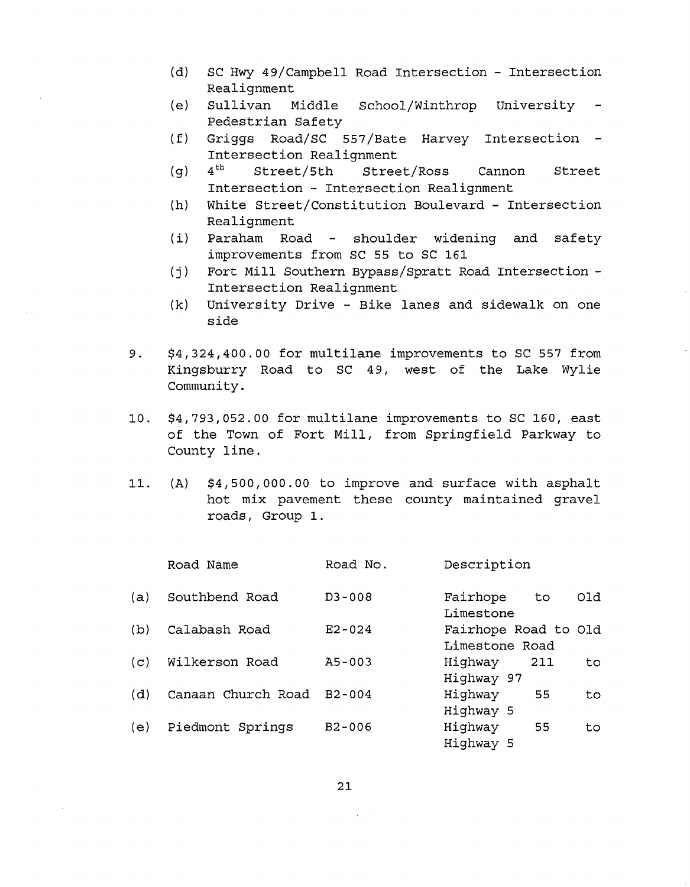- (d) sc Hwy 49/Campbell Road Intersection Intersection Realignment
- (e) Sullivan Middle School/Winthrop University Pedestrian Safety
- (f) Griggs Road/SC 557/Bate Harvey Intersection Intersection Realignment<br>4<sup>th</sup> Street/5th Stree
- (g) 4<sup>th</sup> Street/5th Street/Ross Cannon Street Intersection - Intersection Realignment
- (h) White Street/Constitution Boulevard Intersection Realignment
- $(i)$  Paraham Road shoulder widening and safety improvements from SC 55 to SC 161
- (j) Fort Mill Southern Bypass/Spratt Road Intersection Intersection Realignment
- (k) University Drive Bike lanes and sidewalk on one side
- 9. \$4,324,400.00 for multilane improvements to SC 557 from Kingsburry Road to SC 49, west of the Lake Wylie Community.
- 10. \$4,793,052.00 for multilane improvements to SC 160, east of the Town of Fort Mill, from Springfield Parkway to County line.
- 11. (A) \$4,500,000.00 to improve and surface with asphalt hot mix pavement these county maintained gravel roads, Group 1.

|     | Road Name          | Road No.   | Description                            |
|-----|--------------------|------------|----------------------------------------|
| (a) | Southbend Road     | $D3 - 008$ | Fairhope<br>Old<br>to<br>Limestone     |
| (b) | Calabash Road      | $E2 - 024$ | Fairhope Road to Old<br>Limestone Road |
| (c) | Wilkerson Road     | $A5 - 003$ | Highway<br>211<br>to<br>Highway 97     |
| (d) | Canaan Church Road | $B2 - 004$ | Highway<br>55<br>to.<br>Highway 5      |
| (e) | Piedmont Springs   | $B2 - 006$ | Highway<br>55<br>to<br>Highway 5       |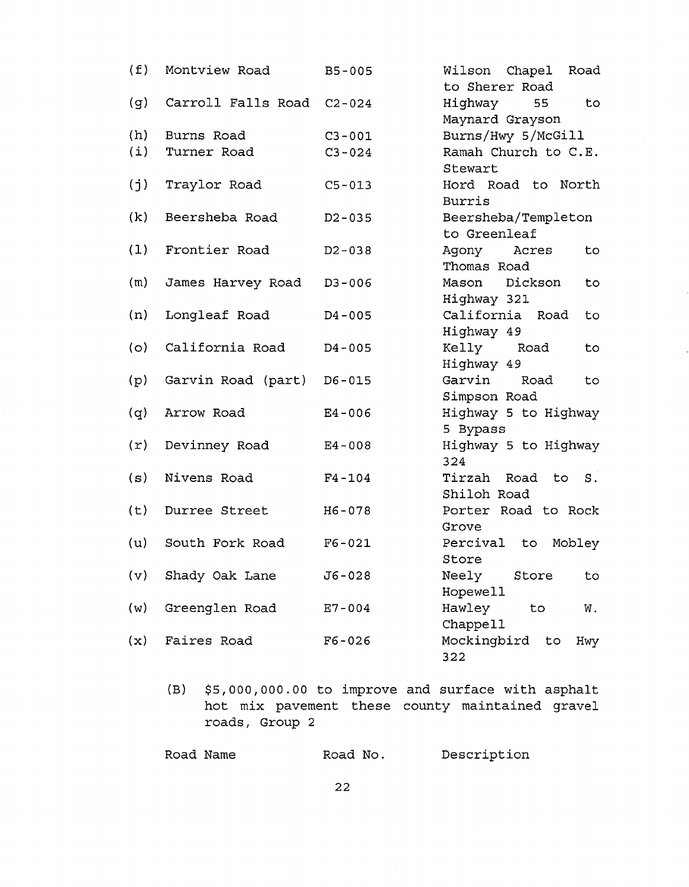| (f) | Montview Road             | $B5 - 005$ | Wilson Chapel Road<br>to Sherer Road   |
|-----|---------------------------|------------|----------------------------------------|
| (g) | Carroll Falls Road C2-024 |            | Highway<br>55<br>to<br>Maynard Grayson |
| (h) | Burns Road                | $C3 - 001$ | Burns/Hwy 5/McGill                     |
| (i) | Turner Road               | $C3 - 024$ | Ramah Church to C.E.<br>Stewart        |
| (j) | Traylor Road              | $C5 - 013$ | Hord Road to North<br><b>Burris</b>    |
| (k) | Beersheba Road            | $D2 - 035$ | Beersheba/Templeton<br>to Greenleaf    |
| (1) | Frontier Road             | $D2 - 038$ | Agony Acres<br>to<br>Thomas Road       |
| (m) | James Harvey Road         | $D3 - 006$ | Dickson<br>Mason<br>to<br>Highway 321  |
| (n) | Longleaf Road             | $D4 - 005$ | California Road<br>to.<br>Highway 49   |
| (0) | California Road           | $D4 - 005$ | Kelly Road<br>to<br>Highway 49         |
| (p) | Garvin Road (part)        | $D6 - 015$ | Garvin<br>Road<br>to<br>Simpson Road   |
| (q) | Arrow Road                | $E4 - 006$ | Highway 5 to Highway<br>5 Bypass       |
| (r) | Devinney Road             | $E4 - 008$ | Highway 5 to Highway<br>324            |
| (s) | Nivens Road               | $F4 - 104$ | Tirzah Road<br>to S.<br>Shiloh Road    |
| (t) | Durree Street             | H6-078     | Porter Road to Rock<br>Grove           |
| (u) | South Fork Road           | $F6 - 021$ | Percival<br>Mobley<br>to<br>Store      |
| (v) | Shady Oak Lane            | $J6 - 028$ | Neely<br>Store<br>to<br>Hopewell       |
| (w) | Greenglen Road            | $E7 - 004$ | Hawley<br>to<br>W.<br>Chappell         |
| (x) | Faires Road               | $F6 - 026$ | Mockingbird<br>to<br>Hwy<br>322        |

(B) \$5,000,000.00 to improve and surface with asphalt hot mix pavement these county maintained gravel roads, Group 2

| Road Name | Road No. | Description |
|-----------|----------|-------------|
|           |          |             |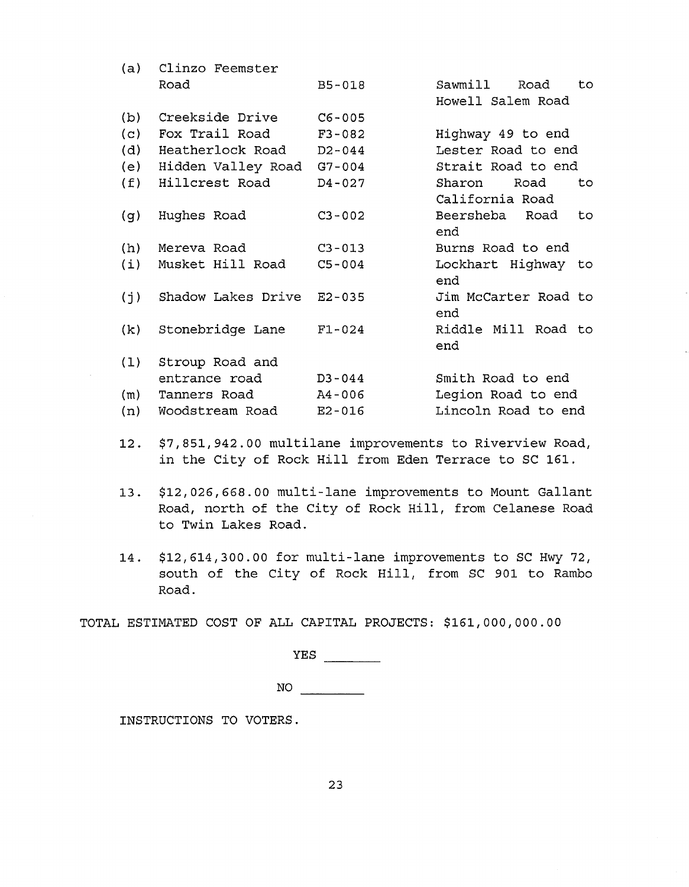| (a) | Clinzo Feemster           |            |                       |
|-----|---------------------------|------------|-----------------------|
|     | Road                      | $B5 - 018$ | Sawmill Road<br>to.   |
|     |                           |            | Howell Salem Road     |
| (b) | Creekside Drive           | $C6 - 005$ |                       |
| (c) | Fox Trail Road            | $F3 - 082$ | Highway 49 to end     |
| (d) | Heatherlock Road D2-044   |            | Lester Road to end    |
| (e) | Hidden Valley Road G7-004 |            | Strait Road to end    |
| (f) | Hillcrest Road            | $D4 - 027$ | Sharon Road<br>to.    |
|     |                           |            | California Road       |
| (g) | Hughes Road               | $C3 - 002$ | Beersheba Road<br>to. |
|     |                           |            | end                   |
| (h) | Mereva Road               | $C3 - 013$ | Burns Road to end     |
| (i) | Musket Hill Road          | $C5 - 004$ | Lockhart Highway to   |
|     |                           |            | end                   |
| (j) | Shadow Lakes Drive        | $E2 - 035$ | Jim McCarter Road to  |
|     |                           |            | end                   |
| (k) | Stonebridge Lane          | $F1 - 024$ | Riddle Mill Road to   |
|     |                           |            | end                   |
| (1) | Stroup Road and           |            |                       |
|     | entrance road             | $D3 - 044$ | Smith Road to end     |
| (m) | Tanners Road              | A4-006     | Legion Road to end    |
| (n) | Woodstream Road           | $E2 - 016$ | Lincoln Road to end   |

- 12. \$7,851,942.00 multilane improvements to Riverview Road, in the City of Rock Hill from Eden Terrace to SC 161.
- 13. \$12,026,668.00 multi-lane improvements to Mount Gallant Road, north of the City of Rock Hill, from Celanese Road to Twin Lakes Road.
- 14. \$12,614,300.00 for multi-lane improvements to SC Hwy 72, south of the City of Rock Hill, from SC 901 to Rambo Road.

TOTAL ESTIMATED COST OF ALL CAPITAL PROJECTS: \$161,000,000.00

YES

 $NO$ 

INSTRUCTIONS TO VOTERS.

 $\sim$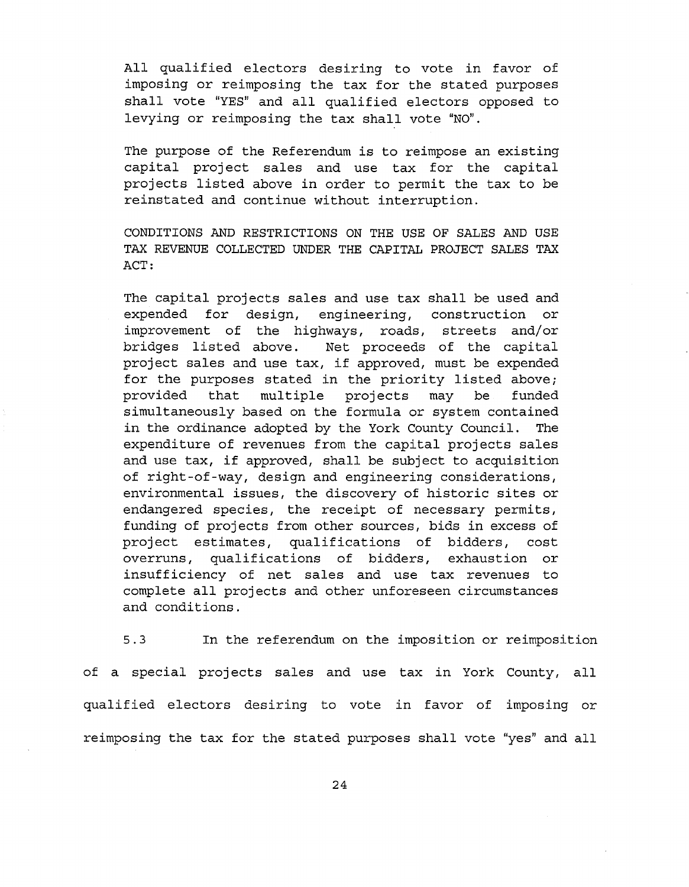All qualified electors desiring to vote in favor of imposing or reimposing the tax for the stated purposes shall vote "YES" and all qualified electors opposed to levying or reimposing the tax shall vote "NO".

The purpose of the Referendum is to reimpose an existing capital project sales and use tax for the capital projects listed above in order to permit the tax to be reinstated and continue without interruption.

CONDITIONS AND RESTRICTIONS ON THE USE OF SALES AND USE TAX REVENUE COLLECTED UNDER THE CAPITAL PROJECT SALES TAX ACT:

The capital projects sales and use tax shall be used and expended for design, engineering, construction or improvement of the highways, roads, streets and/or bridges listed above. Net proceeds of the capital project sales and use tax, if approved, must be expended for the purposes stated in the priority listed above; provided that multiple projects may be funded simultaneously based on the formula or system contained in the ordinance adopted by the York County Council. The expenditure of revenues from the capital projects sales and use tax, if approved, shall be subject to acquisition of right-of-way, design and engineering considerations, environmental issues, the discovery of historic sites or endangered species, the receipt of necessary permits, funding of projects from other sources, bids in excess of project estimates, qualifications of bidders, cost overruns, qualifications of bidders, exhaustion or insufficiency of net sales and use tax revenues to complete all projects and other unforeseen circumstances and conditions.

5.3 In the referendum on the imposition or reimposition of a special projects sales and use tax in York County, all qualified electors desiring to vote in favor of imposing or reimposing the tax for the stated purposes shall vote "yes" and all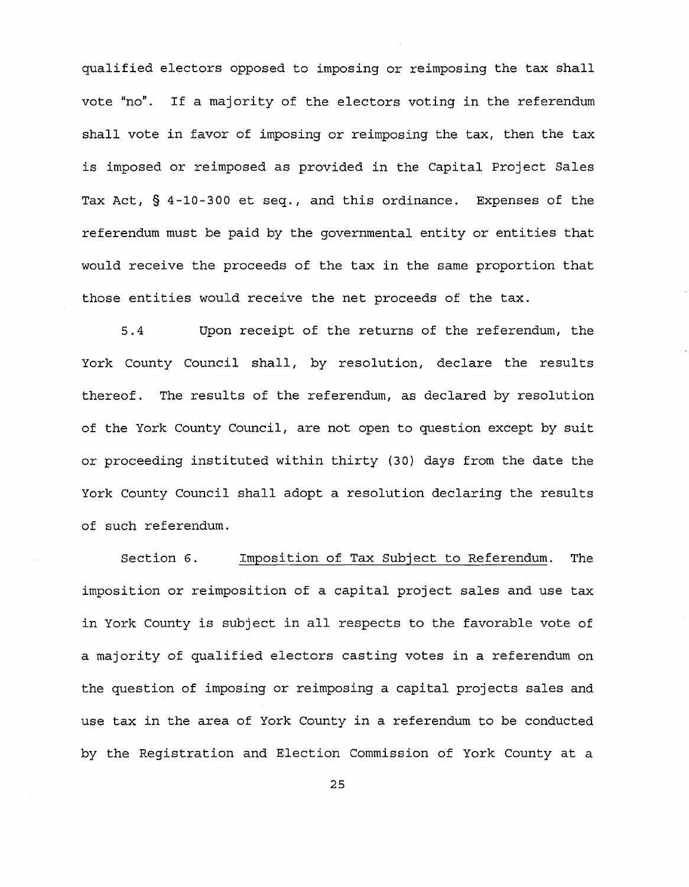qualified electors opposed to imposing or reimposing the tax shall vote "no". If a majority of the electors voting in the referendum shall vote in favor of imposing or reimposing the tax, then the tax is imposed or reimposed as provided in the Capital Project Sales Tax Act, § 4-10-300 et seq., and this ordinance. Expenses of the referendum must be paid by the governmental entity or entities that would receive the proceeds of the tax in the same proportion that those entities would receive the net proceeds of the tax.

5.4 Upon receipt of the returns of the referendum, the York County Council shall, by resolution, declare the results thereof. The results of the referendum, as declared by resolution of the York County Council, are not open to question except by suit or proceeding instituted within thirty (30) days from the date the York County Council shall adopt a resolution declaring the results of such referendum.

Section 6. Imposition of Tax Subject to Referendum. The imposition or reimposition of a capital project sales and use tax in York County is subject in all respects to the favorable vote of a majority of qualified electors casting votes in a referendum on the question of imposing or reimposing a capital projects sales and use tax in the area of York County in a referendum to be conducted by the Registration and Election Commission of York County at a